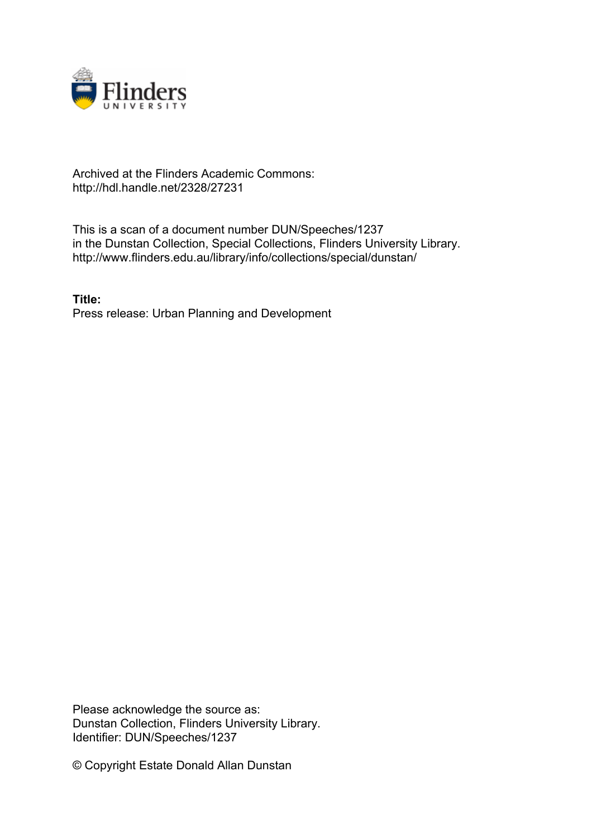

## Archived at the Flinders Academic Commons: http://hdl.handle.net/2328/27231

This is a scan of a document number DUN/Speeches/1237 in the Dunstan Collection, Special Collections, Flinders University Library. http://www.flinders.edu.au/library/info/collections/special/dunstan/

**Title:** Press release: Urban Planning and Development

Please acknowledge the source as: Dunstan Collection, Flinders University Library. Identifier: DUN/Speeches/1237

© Copyright Estate Donald Allan Dunstan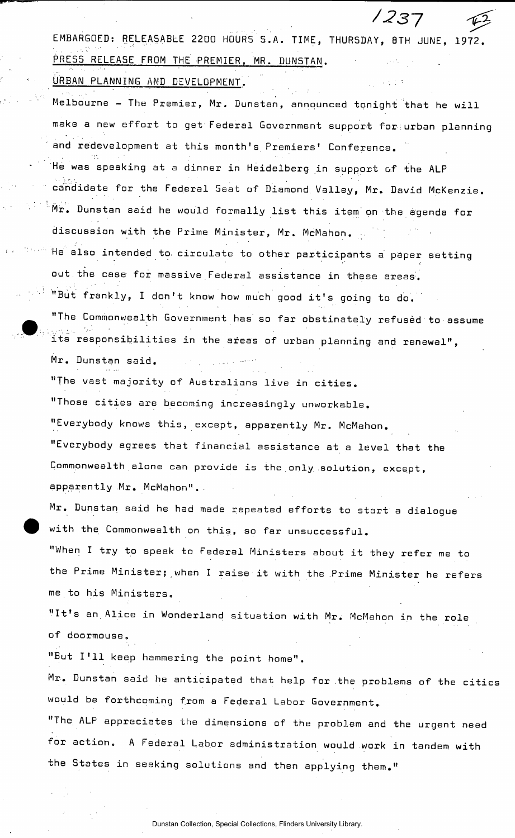EMBARGOED: RELEASABLE 2200 HOURS S.A. TIME, THURSDAY, 8TH JUNE, 1972. PRESS RELEASE FROM THE PREMIER, MR. DUNSTAN.

*/237* 

URBAN PLANNING AND DEVELOPMENT.

Melbourne - The Premier, Mr. Dunstan, announced tonight that he will make a new effort to get Federal Government support for urban planning and redevelopment at this month's Premiers' Conference.

He was speaking at a dinner in Heidelberg in support of the ALP candidate for the Federal Seat of Diamond Valley, Mr. David McKenzie. Mr. Dunstan said he would formally list this item on the agenda for discussion with the Prime Minister, Mr. McMahon.

He also intended to. circulate to other participants a paper setting out the case for massive Federal assistance in these areas.

"But frankly, I don't know how much good it's going to do.

"The Commonwealth Government has so far obstinately refused to assume its responsibilities in the areas of urban planning and renewal",

Mr. Dunstan said. "The vast majority of Australians live in cities. "Those cities are becoming increasingly unworkable. "Everybody knows this, except, apparently Mr. McMahon. "Everybody agrees that financial assistance at a level that the Commonwealth alone can provide is the only, solution, except, apparently Mr. McMahon"..

Mr. Dunstan said he had made repeated efforts to start a dialogue with the Commonwealth on this, so far unsuccessful.

"When I try to speak to Federal Ministers about it they refer me to the Prime Minister; when I raise it with the Prime Minister he refers me to his Ministers.

"It's an Alice in Wonderland situation with Mr. McMahon in the role of doormouse.

"But I'll keep hammering the point home".

Mr. Dunstan said he anticipated that help for the problems of the cities would be forthcoming from a Federal Labor Government.

"The ALP appreciates the dimensions of the problem and the urgent need for action. A Federal Labor administration would work in tandem with the States in seeking solutions and then applying them."